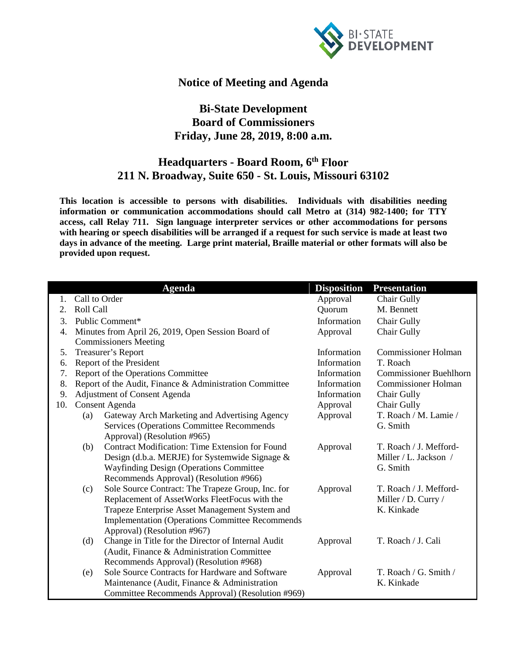

## **Notice of Meeting and Agenda**

## **Bi-State Development Board of Commissioners Friday, June 28, 2019, 8:00 a.m.**

## **Headquarters - Board Room, 6th Floor 211 N. Broadway, Suite 650 - St. Louis, Missouri 63102**

**This location is accessible to persons with disabilities. Individuals with disabilities needing information or communication accommodations should call Metro at (314) 982-1400; for TTY access, call Relay 711. Sign language interpreter services or other accommodations for persons with hearing or speech disabilities will be arranged if a request for such service is made at least two days in advance of the meeting. Large print material, Braille material or other formats will also be provided upon request.**

|     |                                                    | <b>Agenda</b>                                                                                            | <b>Disposition</b> | <b>Presentation</b>               |
|-----|----------------------------------------------------|----------------------------------------------------------------------------------------------------------|--------------------|-----------------------------------|
| 1.  | Call to Order                                      |                                                                                                          | Approval           | Chair Gully                       |
| 2.  | Roll Call                                          |                                                                                                          | Quorum             | M. Bennett                        |
| 3.  | Public Comment*                                    |                                                                                                          | Information        | Chair Gully                       |
| 4.  | Minutes from April 26, 2019, Open Session Board of |                                                                                                          | Approval           | Chair Gully                       |
|     |                                                    | <b>Commissioners Meeting</b>                                                                             |                    |                                   |
| 5.  |                                                    | Treasurer's Report                                                                                       | Information        | <b>Commissioner Holman</b>        |
| 6.  |                                                    | Report of the President                                                                                  | Information        | T. Roach                          |
| 7.  | Report of the Operations Committee                 |                                                                                                          | Information        | <b>Commissioner Buehlhorn</b>     |
| 8.  |                                                    | Report of the Audit, Finance & Administration Committee                                                  | Information        | <b>Commissioner Holman</b>        |
| 9.  | Adjustment of Consent Agenda                       |                                                                                                          | Information        | Chair Gully                       |
| 10. | <b>Consent Agenda</b>                              |                                                                                                          | Approval           | Chair Gully                       |
|     | (a)                                                | Gateway Arch Marketing and Advertising Agency                                                            | Approval           | T. Roach / M. Lamie /             |
|     |                                                    | Services (Operations Committee Recommends                                                                |                    | G. Smith                          |
|     |                                                    | Approval) (Resolution #965)                                                                              |                    |                                   |
|     | (b)                                                | <b>Contract Modification: Time Extension for Found</b>                                                   | Approval           | T. Roach / J. Mefford-            |
|     |                                                    | Design (d.b.a. MERJE) for Systemwide Signage &                                                           |                    | Miller / L. Jackson /             |
|     |                                                    | <b>Wayfinding Design (Operations Committee)</b>                                                          |                    | G. Smith                          |
|     |                                                    | Recommends Approval) (Resolution #966)                                                                   |                    |                                   |
|     | (c)                                                | Sole Source Contract: The Trapeze Group, Inc. for                                                        | Approval           | T. Roach / J. Mefford-            |
|     |                                                    | Replacement of AssetWorks FleetFocus with the                                                            |                    | Miller / D. Curry /<br>K. Kinkade |
|     |                                                    | Trapeze Enterprise Asset Management System and<br><b>Implementation (Operations Committee Recommends</b> |                    |                                   |
|     |                                                    | Approval) (Resolution #967)                                                                              |                    |                                   |
|     | (d)                                                | Change in Title for the Director of Internal Audit                                                       | Approval           | T. Roach / J. Cali                |
|     |                                                    | (Audit, Finance & Administration Committee)                                                              |                    |                                   |
|     |                                                    | Recommends Approval) (Resolution #968)                                                                   |                    |                                   |
|     | (e)                                                | Sole Source Contracts for Hardware and Software                                                          | Approval           | T. Roach / G. Smith /             |
|     |                                                    | Maintenance (Audit, Finance & Administration                                                             |                    | K. Kinkade                        |
|     |                                                    | Committee Recommends Approval) (Resolution #969)                                                         |                    |                                   |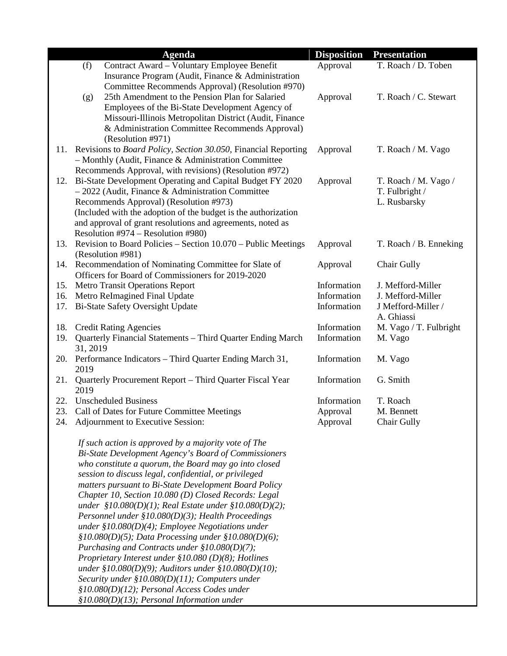|     |          | <b>Agenda</b>                                                                                               | <b>Disposition</b> | <b>Presentation</b>            |
|-----|----------|-------------------------------------------------------------------------------------------------------------|--------------------|--------------------------------|
|     | (f)      | Contract Award - Voluntary Employee Benefit                                                                 | Approval           | T. Roach / D. Toben            |
|     |          | Insurance Program (Audit, Finance & Administration                                                          |                    |                                |
|     |          | Committee Recommends Approval) (Resolution #970)                                                            |                    |                                |
|     | (g)      | 25th Amendment to the Pension Plan for Salaried                                                             | Approval           | T. Roach / C. Stewart          |
|     |          | Employees of the Bi-State Development Agency of                                                             |                    |                                |
|     |          | Missouri-Illinois Metropolitan District (Audit, Finance                                                     |                    |                                |
|     |          | & Administration Committee Recommends Approval)                                                             |                    |                                |
|     |          | (Resolution #971)                                                                                           |                    |                                |
| 11. |          | Revisions to Board Policy, Section 30.050, Financial Reporting                                              | Approval           | T. Roach / M. Vago             |
|     |          | $-$ Monthly (Audit, Finance & Administration Committee                                                      |                    |                                |
|     |          | Recommends Approval, with revisions) (Resolution #972)                                                      |                    |                                |
| 12. |          | Bi-State Development Operating and Capital Budget FY 2020                                                   | Approval           | T. Roach / M. Vago /           |
|     |          | $-2022$ (Audit, Finance & Administration Committee<br>Recommends Approval) (Resolution #973)                |                    | T. Fulbright /<br>L. Rusbarsky |
|     |          | (Included with the adoption of the budget is the authorization                                              |                    |                                |
|     |          | and approval of grant resolutions and agreements, noted as                                                  |                    |                                |
|     |          | Resolution #974 – Resolution #980)                                                                          |                    |                                |
| 13. |          | Revision to Board Policies – Section 10.070 – Public Meetings                                               | Approval           | T. Roach / B. Enneking         |
|     |          | (Resolution #981)                                                                                           |                    |                                |
| 14. |          | Recommendation of Nominating Committee for Slate of                                                         | Approval           | <b>Chair Gully</b>             |
|     |          | Officers for Board of Commissioners for 2019-2020                                                           |                    |                                |
| 15. |          | <b>Metro Transit Operations Report</b>                                                                      | Information        | J. Mefford-Miller              |
| 16. |          | Metro ReImagined Final Update                                                                               | Information        | J. Mefford-Miller              |
| 17. |          | <b>Bi-State Safety Oversight Update</b>                                                                     | Information        | J Mefford-Miller /             |
|     |          |                                                                                                             |                    | A. Ghiassi                     |
| 18. |          | <b>Credit Rating Agencies</b>                                                                               | Information        | M. Vago / T. Fulbright         |
| 19. |          | Quarterly Financial Statements - Third Quarter Ending March                                                 | Information        | M. Vago                        |
|     | 31, 2019 |                                                                                                             |                    |                                |
| 20. | 2019     | Performance Indicators - Third Quarter Ending March 31,                                                     | Information        | M. Vago                        |
| 21. |          | Quarterly Procurement Report - Third Quarter Fiscal Year                                                    | Information        | G. Smith                       |
|     | 2019     |                                                                                                             |                    |                                |
| 22. |          | <b>Unscheduled Business</b>                                                                                 | Information        | T. Roach                       |
| 23. |          | Call of Dates for Future Committee Meetings                                                                 | Approval           | M. Bennett                     |
| 24. |          | Adjournment to Executive Session:                                                                           | Approval           | <b>Chair Gully</b>             |
|     |          |                                                                                                             |                    |                                |
|     |          | If such action is approved by a majority vote of The                                                        |                    |                                |
|     |          | Bi-State Development Agency's Board of Commissioners                                                        |                    |                                |
|     |          | who constitute a quorum, the Board may go into closed                                                       |                    |                                |
|     |          | session to discuss legal, confidential, or privileged                                                       |                    |                                |
|     |          | matters pursuant to Bi-State Development Board Policy                                                       |                    |                                |
|     |          | Chapter 10, Section 10.080 (D) Closed Records: Legal                                                        |                    |                                |
|     |          | under $$10.080(D)(1)$ ; Real Estate under $$10.080(D)(2)$ ;                                                 |                    |                                |
|     |          | Personnel under $$10.080(D)(3);$ Health Proceedings                                                         |                    |                                |
|     |          | under $$10.080(D)(4);$ Employee Negotiations under                                                          |                    |                                |
|     |          | $$10.080(D)(5);$ Data Processing under $$10.080(D)(6);$                                                     |                    |                                |
|     |          | Purchasing and Contracts under $$10.080(D)(7);$                                                             |                    |                                |
|     |          | Proprietary Interest under $$10.080(D)(8);$ Hotlines<br>under §10.080(D)(9); Auditors under §10.080(D)(10); |                    |                                |
|     |          | Security under $$10.080(D)(11)$ ; Computers under                                                           |                    |                                |
|     |          | $$10.080(D)(12);$ Personal Access Codes under                                                               |                    |                                |
|     |          | $$10.080(D)(13)$; Personal Information under$                                                               |                    |                                |